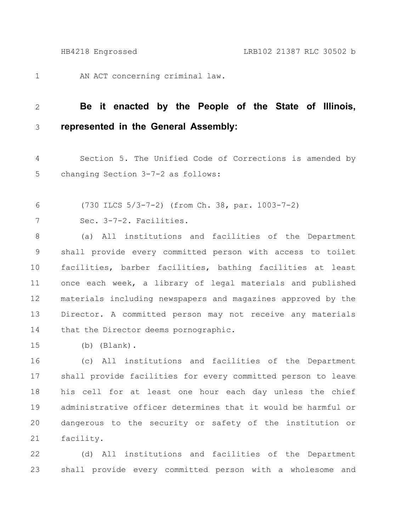AN ACT concerning criminal law. 1

## **Be it enacted by the People of the State of Illinois, represented in the General Assembly:** 2 3

Section 5. The Unified Code of Corrections is amended by changing Section 3-7-2 as follows: 4 5

- (730 ILCS 5/3-7-2) (from Ch. 38, par. 1003-7-2) 6
- Sec. 3-7-2. Facilities. 7

(a) All institutions and facilities of the Department shall provide every committed person with access to toilet facilities, barber facilities, bathing facilities at least once each week, a library of legal materials and published materials including newspapers and magazines approved by the Director. A committed person may not receive any materials that the Director deems pornographic. 8 9 10 11 12 13 14

(b) (Blank). 15

(c) All institutions and facilities of the Department shall provide facilities for every committed person to leave his cell for at least one hour each day unless the chief administrative officer determines that it would be harmful or dangerous to the security or safety of the institution or facility. 16 17 18 19 20 21

(d) All institutions and facilities of the Department shall provide every committed person with a wholesome and 22 23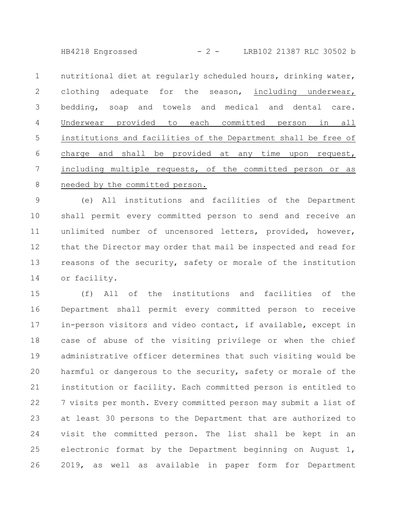HB4218 Engrossed - 2 - LRB102 21387 RLC 30502 b

nutritional diet at regularly scheduled hours, drinking water, clothing adequate for the season, including underwear, bedding, soap and towels and medical and dental care. Underwear provided to each committed person in all institutions and facilities of the Department shall be free of charge and shall be provided at any time upon request, including multiple requests, of the committed person or as needed by the committed person. 1 2 3 4 5 6 7 8

(e) All institutions and facilities of the Department shall permit every committed person to send and receive an unlimited number of uncensored letters, provided, however, that the Director may order that mail be inspected and read for reasons of the security, safety or morale of the institution or facility. 9 10 11 12 13 14

(f) All of the institutions and facilities of the Department shall permit every committed person to receive in-person visitors and video contact, if available, except in case of abuse of the visiting privilege or when the chief administrative officer determines that such visiting would be harmful or dangerous to the security, safety or morale of the institution or facility. Each committed person is entitled to 7 visits per month. Every committed person may submit a list of at least 30 persons to the Department that are authorized to visit the committed person. The list shall be kept in an electronic format by the Department beginning on August 1, 2019, as well as available in paper form for Department 15 16 17 18 19 20 21 22 23 24 25 26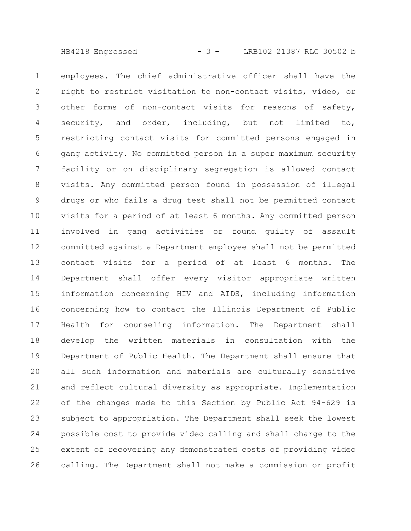HB4218 Engrossed - 3 - LRB102 21387 RLC 30502 b

employees. The chief administrative officer shall have the right to restrict visitation to non-contact visits, video, or other forms of non-contact visits for reasons of safety, security, and order, including, but not limited to, restricting contact visits for committed persons engaged in gang activity. No committed person in a super maximum security facility or on disciplinary segregation is allowed contact visits. Any committed person found in possession of illegal drugs or who fails a drug test shall not be permitted contact visits for a period of at least 6 months. Any committed person involved in gang activities or found guilty of assault committed against a Department employee shall not be permitted contact visits for a period of at least 6 months. The Department shall offer every visitor appropriate written information concerning HIV and AIDS, including information concerning how to contact the Illinois Department of Public Health for counseling information. The Department shall develop the written materials in consultation with the Department of Public Health. The Department shall ensure that all such information and materials are culturally sensitive and reflect cultural diversity as appropriate. Implementation of the changes made to this Section by Public Act 94-629 is subject to appropriation. The Department shall seek the lowest possible cost to provide video calling and shall charge to the extent of recovering any demonstrated costs of providing video calling. The Department shall not make a commission or profit 1 2 3 4 5 6 7 8 9 10 11 12 13 14 15 16 17 18 19 20 21 22 23 24 25 26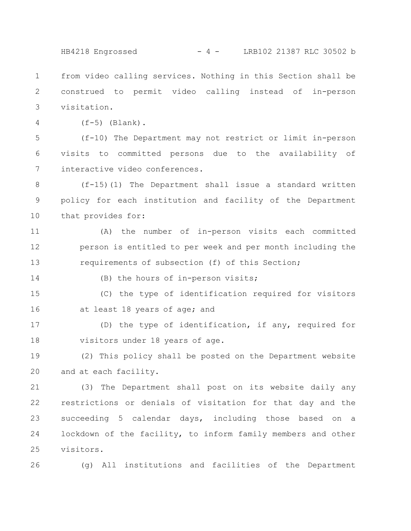HB4218 Engrossed - 4 - LRB102 21387 RLC 30502 b

from video calling services. Nothing in this Section shall be construed to permit video calling instead of in-person visitation. 1 2 3

4

 $(f-5)$  (Blank).

(f-10) The Department may not restrict or limit in-person visits to committed persons due to the availability of interactive video conferences. 5 6 7

(f-15)(1) The Department shall issue a standard written policy for each institution and facility of the Department that provides for: 8 9 10

(A) the number of in-person visits each committed person is entitled to per week and per month including the requirements of subsection (f) of this Section; 11 12 13

14

(B) the hours of in-person visits;

(C) the type of identification required for visitors at least 18 years of age; and 15 16

(D) the type of identification, if any, required for visitors under 18 years of age. 17 18

(2) This policy shall be posted on the Department website and at each facility. 19 20

(3) The Department shall post on its website daily any restrictions or denials of visitation for that day and the succeeding 5 calendar days, including those based on a lockdown of the facility, to inform family members and other visitors. 21 22 23 24 25

(g) All institutions and facilities of the Department 26